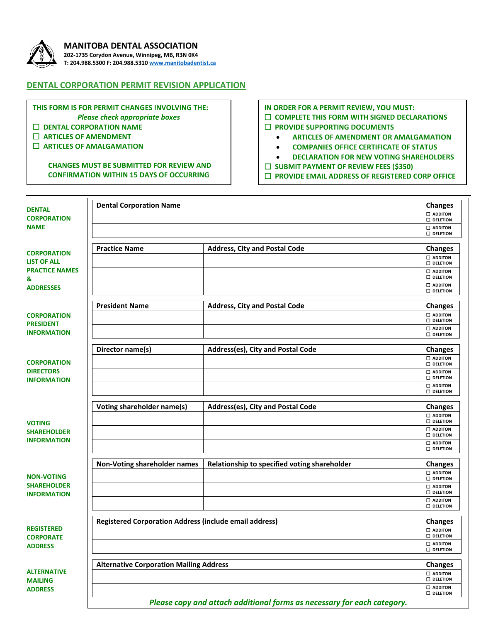

### **MANITOBA DENTAL ASSOCIATION**

**202-1735 Corydon Avenue, Winnipeg, MB, R3N 0K4 T: 204.988.5300 F: 204.988.531[0 www.manitobadentist.ca](http://www.manitobadentist.ca/)**

## **DENTAL CORPORATION PERMIT REVISION APPLICATION**

**THIS FORM IS FOR PERMIT CHANGES INVOLVING THE:** *Please check appropriate boxes*  **DENTAL CORPORATION NAME**

 **ARTICLES OF AMENDMENT ARTICLES OF AMALGAMATION**

> **CHANGES MUST BE SUBMITTED FOR REVIEW AND CONFIRMATION WITHIN 15 DAYS OF OCCURRING**

# **IN ORDER FOR A PERMIT REVIEW, YOU MUST:**

#### **COMPLETE THIS FORM WITH SIGNED DECLARATIONS**

- **PROVIDE SUPPORTING DOCUMENTS**
	- **ARTICLES OF AMENDMENT OR AMALGAMATION**
	- **COMPANIES OFFICE CERTIFICATE OF STATUS**
	- **DECLARATION FOR NEW VOTING SHAREHOLDERS**
- **SUBMIT PAYMENT OF REVIEW FEES (\$350)**
- **PROVIDE EMAIL ADDRESS OF REGISTERED CORP OFFICE**

| <b>DENTAL</b><br><b>CORPORATION</b>                                                                                                                        | <b>Dental Corporation Name</b>                                          |                                              | <b>Changes</b>                          |
|------------------------------------------------------------------------------------------------------------------------------------------------------------|-------------------------------------------------------------------------|----------------------------------------------|-----------------------------------------|
|                                                                                                                                                            |                                                                         |                                              | $\square$ ADDITON<br>$\square$ DELETION |
| <b>NAME</b>                                                                                                                                                |                                                                         |                                              | $\square$ ADDITON                       |
|                                                                                                                                                            |                                                                         |                                              | <b>DELETION</b>                         |
|                                                                                                                                                            | <b>Practice Name</b>                                                    | <b>Address, City and Postal Code</b>         | <b>Changes</b>                          |
| <b>CORPORATION</b><br><b>LIST OF ALL</b><br><b>PRACTICE NAMES</b><br>&<br><b>ADDRESSES</b><br><b>CORPORATION</b><br><b>PRESIDENT</b><br><b>INFORMATION</b> |                                                                         |                                              | $\square$ ADDITON                       |
|                                                                                                                                                            |                                                                         |                                              | $\square$ DELETION                      |
|                                                                                                                                                            |                                                                         |                                              | $\square$ ADDITON<br><b>DELETION</b>    |
|                                                                                                                                                            |                                                                         |                                              | <b>D</b> ADDITON                        |
|                                                                                                                                                            |                                                                         |                                              | <b>DELETION</b>                         |
|                                                                                                                                                            | <b>President Name</b>                                                   | <b>Address, City and Postal Code</b>         | <b>Changes</b>                          |
|                                                                                                                                                            |                                                                         |                                              | $\square$ ADDITON<br><b>DELETION</b>    |
|                                                                                                                                                            |                                                                         |                                              | $\square$ ADDITON                       |
|                                                                                                                                                            |                                                                         |                                              | <b>DELETION</b>                         |
| <b>CORPORATION</b><br><b>DIRECTORS</b><br><b>INFORMATION</b>                                                                                               | Director name(s)                                                        | Address(es), City and Postal Code            | <b>Changes</b>                          |
|                                                                                                                                                            |                                                                         |                                              | $\square$ ADDITON                       |
|                                                                                                                                                            |                                                                         |                                              | <b>DELETION</b><br>$\square$ ADDITON    |
|                                                                                                                                                            |                                                                         |                                              | $\square$ DELETION                      |
|                                                                                                                                                            |                                                                         |                                              | $\square$ ADDITON<br><b>DELETION</b>    |
|                                                                                                                                                            |                                                                         |                                              |                                         |
| <b>VOTING</b><br><b>SHAREHOLDER</b><br><b>INFORMATION</b>                                                                                                  | Voting shareholder name(s)                                              | Address(es), City and Postal Code            | <b>Changes</b>                          |
|                                                                                                                                                            |                                                                         |                                              | $\square$ ADDITON<br>$\square$ DELETION |
|                                                                                                                                                            |                                                                         |                                              | $\square$ ADDITON                       |
|                                                                                                                                                            |                                                                         |                                              | <b>DELETION</b><br><b>D</b> ADDITON     |
|                                                                                                                                                            |                                                                         |                                              | <b>DELETION</b>                         |
| <b>NON-VOTING</b><br><b>SHAREHOLDER</b><br><b>INFORMATION</b>                                                                                              | Non-Voting shareholder names                                            | Relationship to specified voting shareholder | <b>Changes</b>                          |
|                                                                                                                                                            |                                                                         |                                              | $\square$ ADDITON                       |
|                                                                                                                                                            |                                                                         |                                              | $\square$ DELETION                      |
|                                                                                                                                                            |                                                                         |                                              | $\square$ ADDITON<br>$\square$ DELETION |
|                                                                                                                                                            |                                                                         |                                              | $\square$ ADDITON                       |
|                                                                                                                                                            |                                                                         |                                              | <b>D</b> DELETION                       |
| <b>REGISTERED</b><br><b>CORPORATE</b><br><b>ADDRESS</b>                                                                                                    | <b>Registered Corporation Address (include email address)</b>           |                                              | <b>Changes</b>                          |
|                                                                                                                                                            |                                                                         |                                              | $\square$ ADDITON<br>$\square$ DELETION |
|                                                                                                                                                            |                                                                         |                                              | $\square$ ADDITON                       |
|                                                                                                                                                            |                                                                         |                                              | <b>DELETION</b>                         |
| <b>ALTERNATIVE</b><br><b>MAILING</b><br><b>ADDRESS</b>                                                                                                     | <b>Alternative Corporation Mailing Address</b>                          |                                              | <b>Changes</b>                          |
|                                                                                                                                                            |                                                                         |                                              | $\square$ ADDITON                       |
|                                                                                                                                                            |                                                                         |                                              | <b>D</b> DELETION                       |
|                                                                                                                                                            |                                                                         |                                              | $\square$ ADDITON<br><b>DELETION</b>    |
|                                                                                                                                                            | Please copy and attach additional forms as necessary for each category. |                                              |                                         |